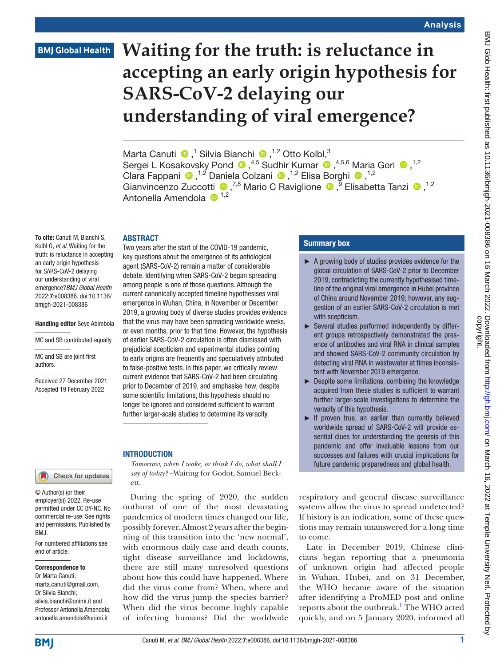# **BMJ Global Health**

# **Waiting for the truth: is reluctance in accepting an early origin hypothesis for SARS-CoV-2 delaying our understanding of viral emergence?**

MartaCanuti  $\bullet$ ,<sup>1</sup> Silvia Bianchi  $\bullet$ ,<sup>1,2</sup> Otto Kolbl,<sup>3</sup> SergeiL Kosakovsky Pond  $\bullet$ ,<sup>4,5</sup> Sudhir Kumar  $\bullet$ ,<sup>4,5,6</sup> Maria Gori  $\bullet$ ,<sup>1,2</sup> ClaraFappani  $\bullet$ ,<sup>1,2</sup> Daniela Colzani  $\bullet$ ,<sup>1,2</sup> Elisa Borghi  $\bullet$ ,<sup>1,2</sup> GianvincenzoZuccotti <sup>1,2</sup> Mario C Raviglione <sup>1,9</sup> Elisabetta Tanzi <sup>1,2</sup> Antonella Amendola  $\mathbf{D}^{1,2}$ 

### ABSTRACT

To cite: Canuti M, Bianchi S, Kolbl O, *et al*. Waiting for the truth: is reluctance in accepting an early origin hypothesis for SARS-CoV-2 delaying our understanding of viral emergence?*BMJ Global Health* 2022;7:e008386. doi:10.1136/ bmjgh-2021-008386

#### Handling editor Seye Abimbola

MC and SB contributed equally.

MC and SB are joint first authors.

Received 27 December 2021 Accepted 19 February 2022

For numbered affiliations see

Check for updates

end of article.

BMJ.

Correspondence to Dr Marta Canuti; marta.canuti@gmail.com, Dr Silvia Bianchi; silvia.bianchi@unimi.it and Professor Antonella Amendola; antonella.amendola@unimi.it

© Author(s) (or their employer(s)) 2022. Re-use permitted under CC BY-NC. No commercial re-use. See rights and permissions. Published by key questions about the emergence of its aetiological agent (SARS-CoV-2) remain a matter of considerable debate. Identifying when SARS-CoV-2 began spreading among people is one of those questions. Although the current canonically accepted timeline hypothesises viral emergence in Wuhan, China, in November or December 2019, a growing body of diverse studies provides evidence that the virus may have been spreading worldwide weeks, or even months, prior to that time. However, the hypothesis of earlier SARS-CoV-2 circulation is often dismissed with prejudicial scepticism and experimental studies pointing to early origins are frequently and speculatively attributed to false-positive tests. In this paper, we critically review current evidence that SARS-CoV-2 had been circulating prior to December of 2019, and emphasise how, despite some scientific limitations, this hypothesis should no longer be ignored and considered sufficient to warrant further larger-scale studies to determine its veracity.

Two years after the start of the COVID-19 pandemic,

### **INTRODUCTION**

*Tomorrow, when I wake, or think I do, what shall I say of today?* –Waiting for Godot, Samuel Beckett.

During the spring of 2020, the sudden outburst of one of the most devastating pandemics of modern times changed our life, possibly forever. Almost 2 years after the beginning of this transition into the 'new normal', with enormous daily case and death counts, tight disease surveillance and lockdowns, there are still many unresolved questions about how this could have happened. Where did the virus come from? When, where and how did the virus jump the species barrier? When did the virus become highly capable of infecting humans? Did the worldwide

### Summary box

- ► A growing body of studies provides evidence for the global circulation of SARS-CoV-2 prior to December 2019, contradicting the currently hypothesised timeline of the original viral emergence in Hubei province of China around November 2019; however, any suggestion of an earlier SARS-CoV-2 circulation is met with scepticism.
- ► Several studies performed independently by different groups retrospectively demonstrated the presence of antibodies and viral RNA in clinical samples and showed SARS-CoV-2 community circulation by detecting viral RNA in wastewater at times inconsistent with November 2019 emergence.
- ► Despite some limitations, combining the knowledge acquired from these studies is sufficient to warrant further larger-scale investigations to determine the veracity of this hypothesis.
- ► If proven true, an earlier than currently believed worldwide spread of SARS-CoV-2 will provide essential clues for understanding the genesis of this pandemic and offer invaluable lessons from our successes and failures with crucial implications for future pandemic preparedness and global health.

respiratory and general disease surveillance systems allow the virus to spread undetected? If history is an indication, some of these questions may remain unanswered for a long time to come.

Late in December 2019, Chinese clinicians began reporting that a pneumonia of unknown origin had affected people in Wuhan, Hubei, and on 31 December, the WHO became aware of the situation after identifying a ProMED post and online reports about the outbreak.<sup>[1](#page-6-0)</sup> The WHO acted quickly, and on 5 January 2020, informed all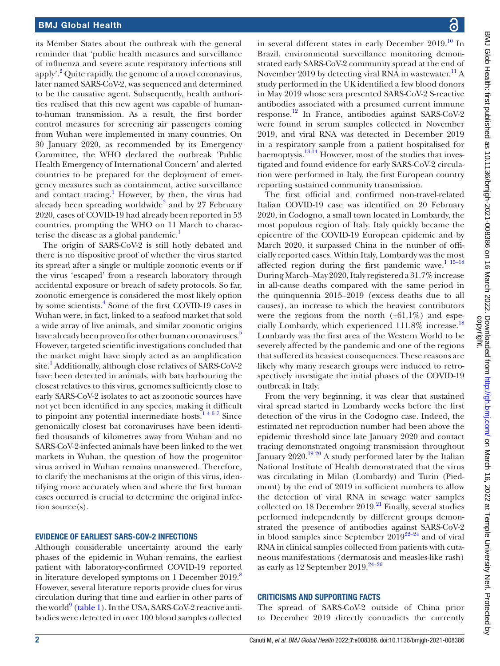its Member States about the outbreak with the general reminder that 'public health measures and surveillance of influenza and severe acute respiratory infections still apply'.<sup>[2](#page-6-1)</sup> Quite rapidly, the genome of a novel coronavirus, later named SARS-CoV-2, was sequenced and determined to be the causative agent. Subsequently, health authorities realised that this new agent was capable of humanto-human transmission. As a result, the first border control measures for screening air passengers coming from Wuhan were implemented in many countries. On 30 January 2020, as recommended by its Emergency Committee, the WHO declared the outbreak 'Public Health Emergency of International Concern' and alerted countries to be prepared for the deployment of emergency measures such as containment, active surveillance and contact tracing.<sup>1</sup> However, by then, the virus had already been spreading worldwide<sup>[3](#page-6-2)</sup> and by 27 February 2020, cases of COVID-19 had already been reported in 53 countries, prompting the WHO on 11 March to characterise the disease as a global pandemic.<sup>1</sup>

The origin of SARS-CoV-2 is still hotly debated and there is no dispositive proof of whether the virus started its spread after a single or multiple zoonotic events or if the virus 'escaped' from a research laboratory through accidental exposure or breach of safety protocols. So far, zoonotic emergence is considered the most likely option by some scientists.<sup>[4](#page-6-3)</sup> Some of the first COVID-19 cases in Wuhan were, in fact, linked to a seafood market that sold a wide array of live animals, and similar zoonotic origins have already been proven for other human coronaviruses.<sup>[5](#page-6-4)</sup> However, targeted scientific investigations concluded that the market might have simply acted as an amplification site.<sup>[1](#page-6-0)</sup> Additionally, although close relatives of SARS-CoV-2 have been detected in animals, with bats harbouring the closest relatives to this virus, genomes sufficiently close to early SARS-CoV-2 isolates to act as zoonotic sources have not yet been identified in any species, making it difficult to pinpoint any potential intermediate hosts. $1467$  Since genomically closest bat coronaviruses have been identified thousands of kilometres away from Wuhan and no SARS-CoV-2-infected animals have been linked to the wet markets in Wuhan, the question of how the progenitor virus arrived in Wuhan remains unanswered. Therefore, to clarify the mechanisms at the origin of this virus, identifying more accurately when and where the first human cases occurred is crucial to determine the original infection source(s).

### EVIDENCE OF EARLIEST SARS-COV-2 INFECTIONS

Although considerable uncertainty around the early phases of the epidemic in Wuhan remains, the earliest patient with laboratory-confirmed COVID-19 reported in literature developed symptoms on 1 December 2019.<sup>[8](#page-6-5)</sup> However, several literature reports provide clues for virus circulation during that time and earlier in other parts of the world $^{9}$  $^{9}$  $^{9}$  [\(table](#page-2-0) 1). In the USA, SARS-CoV-2 reactive antibodies were detected in over 100 blood samples collected

in several different states in early December  $2019$ .<sup>10</sup> In Brazil, environmental surveillance monitoring demonstrated early SARS-CoV-2 community spread at the end of November 2019 by detecting viral RNA in wastewater.<sup>[11](#page-6-8)</sup> A study performed in the UK identified a few blood donors in May 2019 whose sera presented SARS-CoV-2 S-reactive antibodies associated with a presumed current immune response.[12](#page-6-9) In France, antibodies against SARS-CoV-2 were found in serum samples collected in November 2019, and viral RNA was detected in December 2019 in a respiratory sample from a patient hospitalised for haemoptysis.<sup>[13 14](#page-6-10)</sup> However, most of the studies that investigated and found evidence for early SARS-CoV-2 circulation were performed in Italy, the first European country reporting sustained community transmission.

The first official and confirmed non-travel-related Italian COVID-19 case was identified on 20 February 2020, in Codogno, a small town located in Lombardy, the most populous region of Italy. Italy quickly became the epicentre of the COVID-19 European epidemic and by March 2020, it surpassed China in the number of officially reported cases. Within Italy, Lombardy was the most affected region during the first pandemic wave. $115-18$ During March–May 2020, Italy registered a 31.7% increase in all-cause deaths compared with the same period in the quinquennia 2015–2019 (excess deaths due to all causes), an increase to which the heaviest contributors were the regions from the north  $(+61.1\%)$  and especially Lombardy, which experienced 111.8% increase.<sup>18</sup> Lombardy was the first area of the Western World to be severely affected by the pandemic and one of the regions that suffered its heaviest consequences. These reasons are likely why many research groups were induced to retrospectively investigate the initial phases of the COVID-19 outbreak in Italy.

From the very beginning, it was clear that sustained viral spread started in Lombardy weeks before the first detection of the virus in the Codogno case. Indeed, the estimated net reproduction number had been above the epidemic threshold since late January 2020 and contact tracing demonstrated ongoing transmission throughout January 2020.<sup>19 20</sup> A study performed later by the Italian National Institute of Health demonstrated that the virus was circulating in Milan (Lombardy) and Turin (Piedmont) by the end of 2019 in sufficient numbers to allow the detection of viral RNA in sewage water samples collected on 18 December 2019.<sup>[21](#page-6-13)</sup> Finally, several studies performed independently by different groups demonstrated the presence of antibodies against SARS-CoV-2 in blood samples since September  $2019^{22-24}$  and of viral RNA in clinical samples collected from patients with cutaneous manifestations (dermatosis and measles-like rash) as early as 12 September  $2019.<sup>24-26</sup>$ 

## CRITICISMS AND SUPPORTING FACTS

The spread of SARS-CoV-2 outside of China prior to December 2019 directly contradicts the currently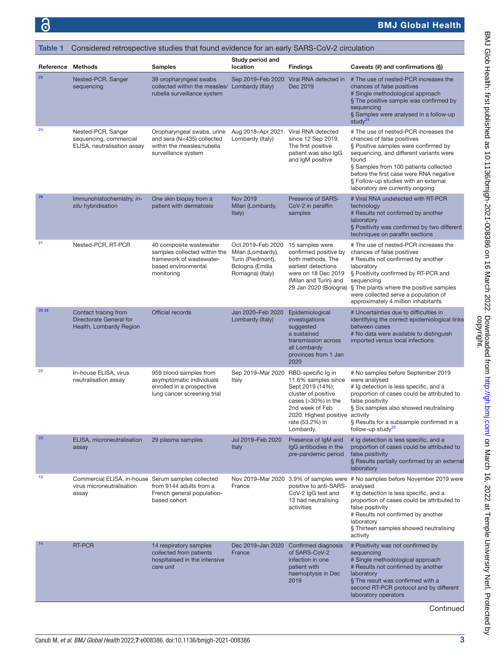# BMJ Global Health

<span id="page-2-0"></span>

| <b>Table 1</b> | Considered retrospective studies that found evidence for an early SARS-CoV-2 circulation |                                                                                                                          |                                                                                                    |                                                                                                                                                                               |                                                                                                                                                                                                                                                                                                                                 |  |  |
|----------------|------------------------------------------------------------------------------------------|--------------------------------------------------------------------------------------------------------------------------|----------------------------------------------------------------------------------------------------|-------------------------------------------------------------------------------------------------------------------------------------------------------------------------------|---------------------------------------------------------------------------------------------------------------------------------------------------------------------------------------------------------------------------------------------------------------------------------------------------------------------------------|--|--|
| Reference      | <b>Methods</b>                                                                           | <b>Samples</b>                                                                                                           | Study period and<br>location                                                                       | <b>Findings</b>                                                                                                                                                               | Caveats (#) and confirmations (§)                                                                                                                                                                                                                                                                                               |  |  |
| 25             | Nested-PCR, Sanger<br>sequencing                                                         | 39 oropharyngeal swabs<br>collected within the measles/ Lombardy (Italy)<br>rubella surveillance system                  | Sep 2019-Feb 2020                                                                                  | Viral RNA detected in<br>Dec 2019                                                                                                                                             | # The use of nested-PCR increases the<br>chances of false positives<br># Single methodological approach<br>§ The positive sample was confirmed by<br>sequencing<br>§ Samples were analysed in a follow-up<br>study $^{24}$                                                                                                      |  |  |
| 24             | Nested-PCR, Sanger<br>sequencing, commercial<br>ELISA, neutralisation assay              | Oropharyngeal swabs, urine<br>and sera (N=435) collected<br>within the measles/rubella<br>surveillance system            | Aug 2018-Apr 2021<br>Lombardy (Italy)                                                              | Viral RNA detected<br>since 12 Sep 2019.<br>The first positive<br>patient was also IgG<br>and IgM positive                                                                    | # The use of nested-PCR increases the<br>chances of false positives<br>§ Positive samples were confirmed by<br>sequencing, and different variants were<br>found<br>§ Samples from 100 patients collected<br>before the first case were RNA negative<br>§ Follow-up studies with an external<br>laboratory are currently ongoing |  |  |
| 26             | Immunohistochemistry, in-<br>situ hybridisation                                          | One skin biopsy from a<br>patient with dermatosis                                                                        | <b>Nov 2019</b><br>Milan (Lombardy,<br>Italy)                                                      | Presence of SARS-<br>CoV-2 in paraffin<br>samples                                                                                                                             | # Viral RNA undetected with RT-PCR<br>technology<br># Results not confirmed by another<br>laboratory<br>§ Positivity was confirmed by two different<br>techniques on paraffin sections                                                                                                                                          |  |  |
| 21             | Nested-PCR, RT-PCR                                                                       | 40 composite wastewater<br>samples collected within the<br>framework of wastewater-<br>based environmental<br>monitoring | Oct 2019-Feb 2020<br>Milan (Lombardy),<br>Turin (Piedmont),<br>Bologna (Emilia<br>Romagna) (Italy) | 15 samples were<br>confirmed positive by<br>both methods. The<br>earliest detections<br>were on 18 Dec 2019<br>(Milan and Turin) and                                          | # The use of nested-PCR increases the<br>chances of false positives<br># Results not confirmed by another<br>laboratory<br>§ Positivity confirmed by RT-PCR and<br>sequencing<br>29 Jan 2020 (Bologna) § The plants where the positive samples<br>were collected serve a population of<br>approximately 4 million inhabitants   |  |  |
| 20 49          | Contact tracing from<br>Directorate General for<br>Health, Lombardy Region               | Official records                                                                                                         | Jan 2020-Feb 2020<br>Lombardy (Italy)                                                              | Epidemiological<br>investigations<br>suggested<br>a sustained<br>transmission across<br>all Lombardy<br>provinces from 1 Jan<br>2020                                          | # Uncertainties due to difficulties in<br>identifying the correct epidemiological links<br>between cases<br># No data were available to distinguish<br>imported versus local infections                                                                                                                                         |  |  |
| 22             | In-house ELISA, virus<br>neutralisation assay                                            | 959 blood samples from<br>asymptomatic individuals<br>enrolled in a prospective<br>lung cancer screening trial           | Sep 2019-Mar 2020 RBD-specific Ig in<br>Italy                                                      | 11.6% samples since<br>Sept 2019 (14%);<br>cluster of positive<br>cases $(>30%)$ in the<br>2nd week of Feb<br>2020. Highest positive activity<br>rate (53.2%) in<br>Lombardy. | # No samples before September 2019<br>were analysed<br># Ig detection is less specific, and a<br>proportion of cases could be attributed to<br>false positivity<br>§ Six samples also showed neutralising<br>§ Results for a subsample confirmed in a<br>follow-up study <sup>23</sup>                                          |  |  |
| 23             | ELISA, microneutralisation<br>assay                                                      | 29 plasma samples                                                                                                        | Jul 2019-Feb 2020<br>Italy                                                                         | Presence of IgM and<br>IgG antibodies in the<br>pre-pandemic period                                                                                                           | # Ig detection is less specific, and a<br>proportion of cases could be attributed to<br>false positivity<br>§ Results partially confirmed by an external<br>laboratory                                                                                                                                                          |  |  |
| 13             | Commercial ELISA, in-house Serum samples collected<br>virus microneutralisation<br>assay | from 9144 adults from a<br>French general population-<br>based cohort                                                    | France                                                                                             | positive to anti-SARS-<br>CoV-2 IgG test and<br>13 had neutralising<br>activities                                                                                             | Nov 2019–Mar 2020 3.9% of samples were # No samples before November 2019 were<br>analysed<br># Ig detection is less specific, and a<br>proportion of cases could be attributed to<br>false positivity<br># Results not confirmed by another<br>laboratory<br>§ Thirteen samples showed neutralising<br>activity                 |  |  |
| 14             | <b>RT-PCR</b>                                                                            | 14 respiratory samples<br>collected from patients<br>hospitalised in the intensive<br>care unit                          | Dec 2019-Jan 2020<br>France                                                                        | Confirmed diagnosis<br>of SARS-CoV-2<br>infection in one<br>patient with<br>haemoptysis in Dec<br>2019                                                                        | # Positivity was not confirmed by<br>sequencing<br># Single methodological approach<br># Results not confirmed by another<br>laboratory<br>§ The result was confirmed with a<br>second RT-PCR protocol and by different<br>laboratory operators                                                                                 |  |  |

Continued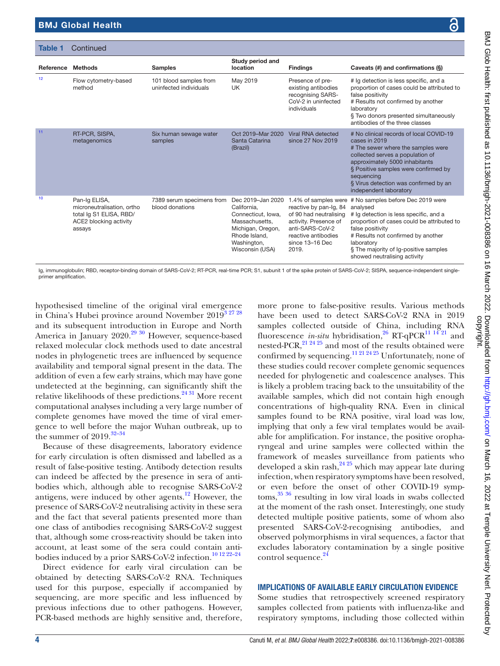| Table 1   | Continued                                                                                                  |                                                  |                                                                                                                                                  |                                                                                                                                                                         |                                                                                                                                                                                                                                                                                               |  |  |
|-----------|------------------------------------------------------------------------------------------------------------|--------------------------------------------------|--------------------------------------------------------------------------------------------------------------------------------------------------|-------------------------------------------------------------------------------------------------------------------------------------------------------------------------|-----------------------------------------------------------------------------------------------------------------------------------------------------------------------------------------------------------------------------------------------------------------------------------------------|--|--|
| Reference | <b>Methods</b>                                                                                             | <b>Samples</b>                                   | Study period and<br>location                                                                                                                     | <b>Findings</b>                                                                                                                                                         | Caveats (#) and confirmations (§)                                                                                                                                                                                                                                                             |  |  |
| 12        | Flow cytometry-based<br>method                                                                             | 101 blood samples from<br>uninfected individuals | May 2019<br>UK                                                                                                                                   | Presence of pre-<br>existing antibodies<br>recognising SARS-<br>CoV-2 in uninfected<br>individuals                                                                      | # Ig detection is less specific, and a<br>proportion of cases could be attributed to<br>false positivity<br># Results not confirmed by another<br>laboratory<br>§ Two donors presented simultaneously<br>antibodies of the three classes                                                      |  |  |
| 11        | RT-PCR, SISPA,<br>metagenomics                                                                             | Six human sewage water<br>samples                | Oct 2019-Mar 2020<br>Santa Catarina<br>(Brazil)                                                                                                  | Viral RNA detected<br>since 27 Nov 2019                                                                                                                                 | # No clinical records of local COVID-19<br>cases in 2019<br># The sewer where the samples were<br>collected serves a population of<br>approximately 5000 inhabitants<br>§ Positive samples were confirmed by<br>sequencing<br>§ Virus detection was confirmed by an<br>independent laboratory |  |  |
| 10        | Pan-Ig ELISA,<br>microneutralisation, ortho<br>total Ig S1 ELISA, RBD/<br>ACE2 blocking activity<br>assays | 7389 serum specimens from<br>blood donations     | Dec 2019-Jan 2020<br>California.<br>Connecticut, Iowa,<br>Massachusetts.<br>Michigan, Oregon,<br>Rhode Island.<br>Washington,<br>Wisconsin (USA) | 1.4% of samples were<br>reactive by pan-Ig, 84<br>of 90 had neutralising<br>activity. Presence of<br>anti-SARS-CoV-2<br>reactive antibodies<br>since 13-16 Dec<br>2019. | # No samples before Dec 2019 were<br>analysed<br># Ig detection is less specific, and a<br>proportion of cases could be attributed to<br>false positivity<br># Results not confirmed by another<br>laboratory<br>§ The majority of Ig-positive samples<br>showed neutralising activity        |  |  |

Ig, immunoglobulin; RBD, receptor-binding domain of SARS-CoV-2; RT-PCR, real-time PCR; S1, subunit 1 of the spike protein of SARS-CoV-2; SISPA, sequence-independent singleprimer amplification.

hypothesised timeline of the original viral emergence in China's Hubei province around November  $2019^{3}$   $27$   $28$ and its subsequent introduction in Europe and North America in January 2020.<sup>29 30</sup> However, sequence-based relaxed molecular clock methods used to date ancestral nodes in phylogenetic trees are influenced by sequence availability and temporal signal present in the data. The addition of even a few early strains, which may have gone undetected at the beginning, can significantly shift the relative likelihoods of these predictions.<sup>24 31</sup> More recent computational analyses including a very large number of complete genomes have moved the time of viral emergence to well before the major Wuhan outbreak, up to the summer of  $2019.^{32-34}$ 

Because of these disagreements, laboratory evidence for early circulation is often dismissed and labelled as a result of false-positive testing. Antibody detection results can indeed be affected by the presence in sera of antibodies which, although able to recognise SARS-CoV-2 antigens, were induced by other agents. $12$  However, the presence of SARS-CoV-2 neutralising activity in these sera and the fact that several patients presented more than one class of antibodies recognising SARS-CoV-2 suggest that, although some cross-reactivity should be taken into account, at least some of the sera could contain antibodies induced by a prior SARS-CoV-2 infection.<sup>10 12 22-24</sup>

Direct evidence for early viral circulation can be obtained by detecting SARS-CoV-2 RNA. Techniques used for this purpose, especially if accompanied by sequencing, are more specific and less influenced by previous infections due to other pathogens. However, PCR-based methods are highly sensitive and, therefore,

more prone to false-positive results. Various methods have been used to detect SARS-CoV-2 RNA in 2019 samples collected outside of China, including RNA fluorescence *in-situ* hybridisation,<sup>26</sup> RT-qPCR<sup>11 14 21</sup> and nested-PCR,  $^{21}$   $^{24}$   $^{25}$  and most of the results obtained were confirmed by sequencing.<sup>11 21 24 25</sup> Unfortunately, none of these studies could recover complete genomic sequences needed for phylogenetic and coalescence analyses. This is likely a problem tracing back to the unsuitability of the available samples, which did not contain high enough concentrations of high-quality RNA. Even in clinical samples found to be RNA positive, viral load was low, implying that only a few viral templates would be available for amplification. For instance, the positive oropharyngeal and urine samples were collected within the framework of measles surveillance from patients who developed a skin rash,  $24\frac{25}{10}$  which may appear late during infection, when respiratory symptoms have been resolved, or even before the onset of other COVID-19 symptoms,[35 36](#page-7-1) resulting in low viral loads in swabs collected at the moment of the rash onset. Interestingly, one study detected multiple positive patients, some of whom also presented SARS-CoV-2-recognising antibodies, and observed polymorphisms in viral sequences, a factor that excludes laboratory contamination by a single positive control sequence.<sup>[24](#page-6-15)</sup>

# IMPLICATIONS OF AVAILABLE EARLY CIRCULATION EVIDENCE

Some studies that retrospectively screened respiratory samples collected from patients with influenza-like and respiratory symptoms, including those collected within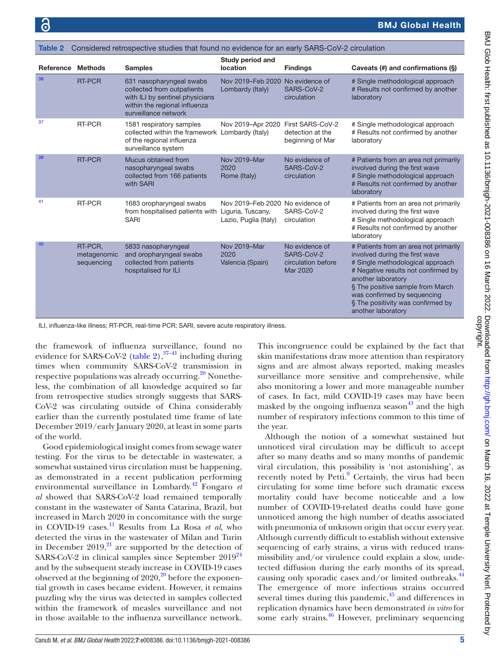<span id="page-4-0"></span>

| Table 2   | Considered retrospective studies that found no evidence for an early SARS-CoV-2 circulation |                                                                                                                                                    |                                                           |                                                                |                                                                                                                                                                                                                                                                                                        |  |  |
|-----------|---------------------------------------------------------------------------------------------|----------------------------------------------------------------------------------------------------------------------------------------------------|-----------------------------------------------------------|----------------------------------------------------------------|--------------------------------------------------------------------------------------------------------------------------------------------------------------------------------------------------------------------------------------------------------------------------------------------------------|--|--|
| Reference | <b>Methods</b>                                                                              | <b>Samples</b>                                                                                                                                     | Study period and<br>location                              | <b>Findings</b>                                                | Caveats (#) and confirmations (§)                                                                                                                                                                                                                                                                      |  |  |
| 38        | <b>RT-PCR</b>                                                                               | 631 nasopharyngeal swabs<br>collected from outpatients<br>with ILI by sentinel physicians<br>within the regional influenza<br>surveillance network | Nov 2019-Feb 2020<br>Lombardy (Italy)                     | No evidence of<br>SARS-CoV-2<br>circulation                    | # Single methodological approach<br># Results not confirmed by another<br>laboratory                                                                                                                                                                                                                   |  |  |
| 37        | RT-PCR                                                                                      | 1581 respiratory samples<br>collected within the framework Lombardy (Italy)<br>of the regional influenza<br>surveillance system                    | Nov 2019-Apr 2020                                         | First SARS-CoV-2<br>detection at the<br>beginning of Mar       | # Single methodological approach<br># Results not confirmed by another<br>laboratory                                                                                                                                                                                                                   |  |  |
| 39        | <b>RT-PCR</b>                                                                               | Mucus obtained from<br>nasopharyngeal swabs<br>collected from 166 patients<br>with SARI                                                            | Nov 2019-Mar<br>2020<br>Rome (Italy)                      | No evidence of<br>SARS-CoV-2<br>circulation                    | # Patients from an area not primarily<br>involved during the first wave<br># Single methodological approach<br># Results not confirmed by another<br>laboratory                                                                                                                                        |  |  |
| 41        | RT-PCR                                                                                      | 1683 oropharyngeal swabs<br>from hospitalised patients with Liguria, Tuscany,<br><b>SARI</b>                                                       | Nov 2019–Feb 2020 No evidence of<br>Lazio, Puglia (Italy) | SARS-CoV-2<br>circulation                                      | # Patients from an area not primarily<br>involved during the first wave<br># Single methodological approach<br># Results not confirmed by another<br>laboratory                                                                                                                                        |  |  |
| 40        | RT-PCR.<br>metagenomic<br>sequencing                                                        | 5833 nasopharyngeal<br>and oropharyngeal swabs<br>collected from patients<br>hospitalised for ILI                                                  | Nov 2019-Mar<br>2020<br>Valencia (Spain)                  | No evidence of<br>SARS-CoV-2<br>circulation before<br>Mar 2020 | # Patients from an area not primarily<br>involved during the first wave<br># Single methodological approach<br># Negative results not confirmed by<br>another laboratory<br>§ The positive sample from March<br>was confirmed by sequencing<br>§ The positivity was confirmed by<br>another laboratory |  |  |

ILI, influenza-like illness; RT-PCR, real-time PCR; SARI, severe acute respiratory illness.

the framework of influenza surveillance, found no evidence for SARS-CoV-2 ([table](#page-4-0) 2),  $37-41$  including during times when community SARS-CoV-2 transmission in respective populations was already occurring. $20$  Nonetheless, the combination of all knowledge acquired so far from retrospective studies strongly suggests that SARS-CoV-2 was circulating outside of China considerably earlier than the currently postulated time frame of late December 2019/early January 2020, at least in some parts of the world.

Good epidemiological insight comes from sewage water testing. For the virus to be detectable in wastewater, a somewhat sustained virus circulation must be happening, as demonstrated in a recent publication performing environmental surveillance in Lombardy[.42](#page-7-3) Fongaro *et al* showed that SARS-CoV-2 load remained temporally constant in the wastewater of Santa Catarina, Brazil, but increased in March 2020 in concomitance with the surge in COVID-19 cases.<sup>11</sup> Results from La Rosa *et al*, who detected the virus in the wastewater of Milan and Turin in December  $2019<sub>1</sub><sup>21</sup>$  are supported by the detection of SARS-CoV-2 in clinical samples since September  $2019^{24}$ and by the subsequent steady increase in COVID-19 cases observed at the beginning of  $2020$  $2020$ ,<sup>20</sup> before the exponential growth in cases became evident. However, it remains puzzling why the virus was detected in samples collected within the framework of measles surveillance and not in those available to the influenza surveillance network.

This incongruence could be explained by the fact that skin manifestations draw more attention than respiratory signs and are almost always reported, making measles surveillance more sensitive and comprehensive, while also monitoring a lower and more manageable number of cases. In fact, mild COVID-19 cases may have been masked by the ongoing influenza season $43$  and the high number of respiratory infections common to this time of the year.

Although the notion of a somewhat sustained but unnoticed viral circulation may be difficult to accept after so many deaths and so many months of pandemic viral circulation, this possibility is 'not astonishing', as recently noted by Petti.<sup>9</sup> Certainly, the virus had been circulating for some time before such dramatic excess mortality could have become noticeable and a low number of COVID-19-related deaths could have gone unnoticed among the high number of deaths associated with pneumonia of unknown origin that occur every year. Although currently difficult to establish without extensive sequencing of early strains, a virus with reduced transmissibility and/or virulence could explain a slow, undetected diffusion during the early months of its spread, causing only sporadic cases and/or limited outbreaks.<sup>44</sup> The emergence of more infectious strains occurred several times during this pandemic, $45$  and differences in replication dynamics have been demonstrated *in vitro* for some early strains. $46$  However, preliminary sequencing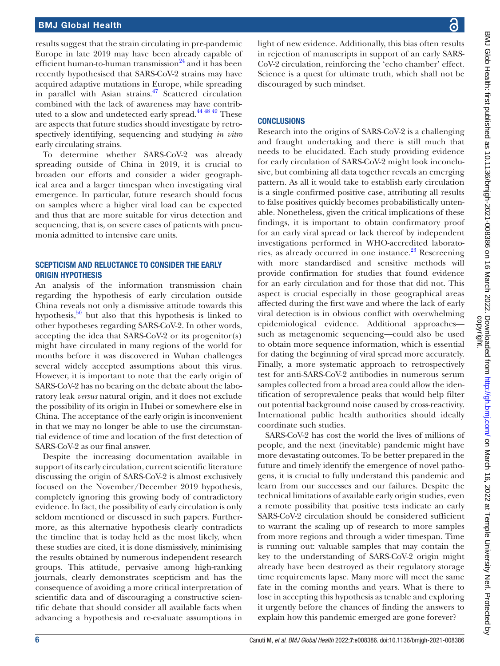results suggest that the strain circulating in pre-pandemic Europe in late 2019 may have been already capable of efficient human-to-human transmission $24$  and it has been recently hypothesised that SARS-CoV-2 strains may have acquired adaptive mutations in Europe, while spreading in parallel with Asian strains.<sup>47</sup> Scattered circulation combined with the lack of awareness may have contributed to a slow and undetected early spread.[44 48 49](#page-7-5) These are aspects that future studies should investigate by retrospectively identifying, sequencing and studying *in vitro* early circulating strains.

To determine whether SARS-CoV-2 was already spreading outside of China in 2019, it is crucial to broaden our efforts and consider a wider geographical area and a larger timespan when investigating viral emergence. In particular, future research should focus on samples where a higher viral load can be expected and thus that are more suitable for virus detection and sequencing, that is, on severe cases of patients with pneumonia admitted to intensive care units.

## SCEPTICISM AND RELUCTANCE TO CONSIDER THE EARLY ORIGIN HYPOTHESIS

An analysis of the information transmission chain regarding the hypothesis of early circulation outside China reveals not only a dismissive attitude towards this hypothesis, $50$  but also that this hypothesis is linked to other hypotheses regarding SARS-CoV-2. In other words, accepting the idea that SARS-CoV-2 or its progenitor(s) might have circulated in many regions of the world for months before it was discovered in Wuhan challenges several widely accepted assumptions about this virus. However, it is important to note that the early origin of SARS-CoV-2 has no bearing on the debate about the laboratory leak *versus* natural origin, and it does not exclude the possibility of its origin in Hubei or somewhere else in China. The acceptance of the early origin is inconvenient in that we may no longer be able to use the circumstantial evidence of time and location of the first detection of SARS-CoV-2 as our final answer.

Despite the increasing documentation available in support of its early circulation, current scientific literature discussing the origin of SARS-CoV-2 is almost exclusively focused on the November/December 2019 hypothesis, completely ignoring this growing body of contradictory evidence. In fact, the possibility of early circulation is only seldom mentioned or discussed in such papers. Furthermore, as this alternative hypothesis clearly contradicts the timeline that is today held as the most likely, when these studies are cited, it is done dismissively, minimising the results obtained by numerous independent research groups. This attitude, pervasive among high-ranking journals, clearly demonstrates scepticism and has the consequence of avoiding a more critical interpretation of scientific data and of discouraging a constructive scientific debate that should consider all available facts when advancing a hypothesis and re-evaluate assumptions in

light of new evidence. Additionally, this bias often results in rejection of manuscripts in support of an early SARS-CoV-2 circulation, reinforcing the 'echo chamber' effect. Science is a quest for ultimate truth, which shall not be discouraged by such mindset.

# **CONCLUSIONS**

Research into the origins of SARS-CoV-2 is a challenging and fraught undertaking and there is still much that needs to be elucidated. Each study providing evidence for early circulation of SARS-CoV-2 might look inconclusive, but combining all data together reveals an emerging pattern. As all it would take to establish early circulation is a single confirmed positive case, attributing all results to false positives quickly becomes probabilistically untenable. Nonetheless, given the critical implications of these findings, it is important to obtain confirmatory proof for an early viral spread or lack thereof by independent investigations performed in WHO-accredited laboratories, as already occurred in one instance.<sup>23</sup> Rescreening with more standardised and sensitive methods will provide confirmation for studies that found evidence for an early circulation and for those that did not. This aspect is crucial especially in those geographical areas affected during the first wave and where the lack of early viral detection is in obvious conflict with overwhelming epidemiological evidence. Additional approaches such as metagenomic sequencing—could also be used to obtain more sequence information, which is essential for dating the beginning of viral spread more accurately. Finally, a more systematic approach to retrospectively test for anti-SARS-CoV-2 antibodies in numerous serum samples collected from a broad area could allow the identification of seroprevalence peaks that would help filter out potential background noise caused by cross-reactivity. International public health authorities should ideally coordinate such studies.

SARS-CoV-2 has cost the world the lives of millions of people, and the next (inevitable) pandemic might have more devastating outcomes. To be better prepared in the future and timely identify the emergence of novel pathogens, it is crucial to fully understand this pandemic and learn from our successes and our failures. Despite the technical limitations of available early origin studies, even a remote possibility that positive tests indicate an early SARS-CoV-2 circulation should be considered sufficient to warrant the scaling up of research to more samples from more regions and through a wider timespan. Time is running out: valuable samples that may contain the key to the understanding of SARS-CoV-2 origin might already have been destroyed as their regulatory storage time requirements lapse. Many more will meet the same fate in the coming months and years. What is there to lose in accepting this hypothesis as tenable and exploring it urgently before the chances of finding the answers to explain how this pandemic emerged are gone forever?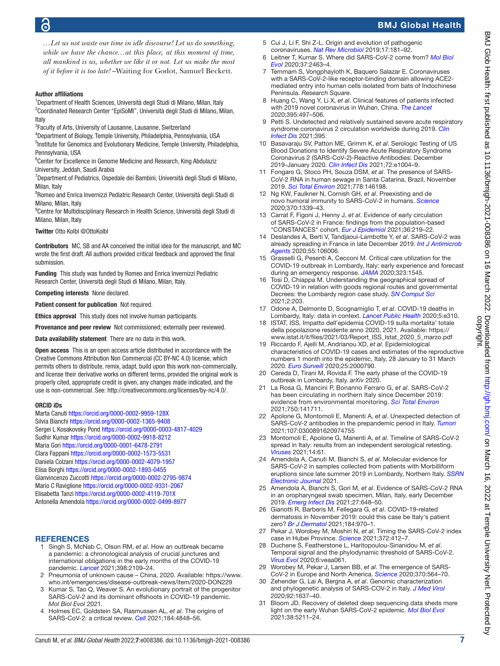*…Let us not waste our time in idle discourse! Let us do something, while we have the chance…at this place, at this moment of time, all mankind is us, whether we like it or not. Let us make the most of it before it is too late!* –Waiting for Godot, Samuel Beckett.

## Author affiliations

<sup>1</sup>Department of Health Sciences, Università degli Studi di Milano, Milan, Italy <sup>2</sup>Coordinated Research Center "EpiSoMI", Università degli Studi di Milano, Milan, Italy

<sup>3</sup> Faculty of Arts, University of Lausanne, Lausanne, Switzerland

4 Department of Biology, Temple University, Philadelphia, Pennsylvania, USA <sup>5</sup>Institute for Genomics and Evolutionary Medicine, Temple University, Philadelphia, Pennsylvania, USA

<sup>6</sup>Center for Excellence in Genome Medicine and Research, King Abdulaziz University, Jeddah, Saudi Arabia

<sup>7</sup>Department of Pediatrics, Ospedale dei Bambini, Università degli Studi di Milano, Milan, Italy

<sup>8</sup> Romeo and Enrica Invernizzi Pediatric Research Center, Università degli Studi di Milano, Milan, Italy

<sup>9</sup> Centre for Multidisciplinary Research in Health Science, Università degli Studi di Milano, Milan, Italy

Twitter Otto Kolbl [@OttoKolbl](https://twitter.com/OttoKolbl)

Contributors MC, SB and AA conceived the initial idea for the manuscript, and MC wrote the first draft. All authors provided critical feedback and approved the final submission.

Funding This study was funded by Romeo and Enrica Invernizzi Pediatric Research Center, Università degli Studi di Milano, Milan, Italy.

Competing interests None declared.

Patient consent for publication Not required.

Ethics approval This study does not involve human participants.

Provenance and peer review Not commissioned; externally peer reviewed.

Data availability statement There are no data in this work.

Open access This is an open access article distributed in accordance with the Creative Commons Attribution Non Commercial (CC BY-NC 4.0) license, which permits others to distribute, remix, adapt, build upon this work non-commercially, and license their derivative works on different terms, provided the original work is properly cited, appropriate credit is given, any changes made indicated, and the use is non-commercial. See:<http://creativecommons.org/licenses/by-nc/4.0/>.

### ORCID iDs

Marta Canuti <https://orcid.org/0000-0002-9959-128X> Silvia Bianchi<https://orcid.org/0000-0002-1365-9408> Sergei L Kosakovsky Pond<https://orcid.org/0000-0003-4817-4029> Sudhir Kumar<https://orcid.org/0000-0002-9918-8212> Maria Gori<https://orcid.org/0000-0001-6478-2791> Clara Fappani<https://orcid.org/0000-0002-1573-5531> Daniela Colzani<https://orcid.org/0000-0002-4079-1957> Elisa Borghi <https://orcid.org/0000-0002-1893-0455> Gianvincenzo Zuccotti<https://orcid.org/0000-0002-2795-9874> Mario C Raviglione<https://orcid.org/0000-0002-9331-2067> Elisabetta Tanzi <https://orcid.org/0000-0002-4119-701X> Antonella Amendola <https://orcid.org/0000-0002-0499-8977>

### **REFERENCES**

- <span id="page-6-0"></span>1 Singh S, McNab C, Olson RM, *et al*. How an outbreak became a pandemic: a chronological analysis of crucial junctures and international obligations in the early months of the COVID-19 pandemic. *[Lancet](http://dx.doi.org/10.1016/S0140-6736(21)01897-3)* 2021;398:2109–24.
- <span id="page-6-1"></span>2 Pneumonia of unknown cause – China, 2020. Available: [https://www.](https://www.who.int/emergencies/disease-outbreak-news/item/2020-DON229) [who.int/emergencies/disease-outbreak-news/item/2020-DON229](https://www.who.int/emergencies/disease-outbreak-news/item/2020-DON229)
- <span id="page-6-2"></span>3 Kumar S, Tao Q, Weaver S. An evolutionary portrait of the progenitor SARS-CoV-2 and its dominant offshoots in COVID-19 pandemic. *Mol Biol Evol* 2021.
- <span id="page-6-3"></span>4 Holmes EC, Goldstein SA, Rasmussen AL, *et al*. The origins of SARS-CoV-2: a critical review. *[Cell](http://dx.doi.org/10.1016/j.cell.2021.08.017)* 2021;184:4848–56.
- <span id="page-6-4"></span>5 Cui J, Li F, Shi Z-L. Origin and evolution of pathogenic coronaviruses. *[Nat Rev Microbiol](http://dx.doi.org/10.1038/s41579-018-0118-9)* 2019;17:181–92.
- 6 Leitner T, Kumar S. Where did SARS-CoV-2 come from? *[Mol Biol](http://dx.doi.org/10.1093/molbev/msaa162)  [Evol](http://dx.doi.org/10.1093/molbev/msaa162)* 2020;37:2463–4.
- 7 Temmam S, Vongphayloth K, Baquero Salazar E. Coronaviruses with a SARS-CoV-2-like receptor-binding domain allowing ACE2 mediated entry into human cells isolated from bats of Indochinese Peninsula. *Research Square*.
- <span id="page-6-5"></span>8 Huang C, Wang Y, Li X, *et al*. Clinical features of patients infected with 2019 novel coronavirus in Wuhan, China. *[The Lancet](http://dx.doi.org/10.1016/S0140-6736(20)30183-5)* 2020;395:497–506.
- <span id="page-6-6"></span>9 Petti S. Undetected and relatively sustained severe acute respiratory syndrome coronavirus 2 circulation worldwide during 2019. *[Clin](http://dx.doi.org/10.1093/cid/ciab727)  [Infect Dis](http://dx.doi.org/10.1093/cid/ciab727)* 2021;395.
- <span id="page-6-7"></span>10 Basavaraju SV, Patton ME, Grimm K, *et al*. Serologic Testing of US Blood Donations to Identify Severe Acute Respiratory Syndrome Coronavirus 2 (SARS-CoV-2)-Reactive Antibodies: December 2019-January 2020. *[Clin Infect Dis](http://dx.doi.org/10.1093/cid/ciaa1785)* 2021;72:e1004–9.
- <span id="page-6-8"></span>11 Fongaro G, Stoco PH, Souza DSM, *et al*. The presence of SARS-CoV-2 RNA in human sewage in Santa Catarina, Brazil, November 2019. *[Sci Total Environ](http://dx.doi.org/10.1016/j.scitotenv.2021.146198)* 2021;778:146198.
- <span id="page-6-9"></span>12 Ng KW, Faulkner N, Cornish GH, *et al*. Preexisting and de novo humoral immunity to SARS-CoV-2 in humans. *[Science](http://dx.doi.org/10.1126/science.abe1107)* 2020;370:1339–43.
- <span id="page-6-10"></span>13 Carrat F, Figoni J, Henny J, *et al*. Evidence of early circulation of SARS-CoV-2 in France: findings from the population-based "CONSTANCES" cohort. *[Eur J Epidemiol](http://dx.doi.org/10.1007/s10654-020-00716-2)* 2021;36:219–22.
- <span id="page-6-20"></span>14 Deslandes A, Berti V, Tandjaoui-Lambotte Y, *et al*. SARS-CoV-2 was already spreading in France in late December 2019. *[Int J Antimicrob](http://dx.doi.org/10.1016/j.ijantimicag.2020.106006)  [Agents](http://dx.doi.org/10.1016/j.ijantimicag.2020.106006)* 2020;55:106006.
- 15 Grasselli G, Pesenti A, Cecconi M. Critical care utilization for the COVID-19 outbreak in Lombardy, Italy: early experience and forecast during an emergency response. *[JAMA](http://dx.doi.org/10.1001/jama.2020.4031)* 2020;323:1545.
- 16 Tosi D, Chiappa M. Understanding the geographical spread of COVID-19 in relation with goods regional routes and governmental Decrees: the Lombardy region case study. *[SN Comput Sci](http://dx.doi.org/10.1007/s42979-021-00597-6)* 2021;2:203.
- 17 Odone A, Delmonte D, Scognamiglio T, *et al*. COVID-19 deaths in Lombardy, Italy: data in context. *[Lancet Public Health](http://dx.doi.org/10.1016/S2468-2667(20)30099-2)* 2020;5:e310.
- <span id="page-6-11"></span>18 ISTAT, ISS. Impatto dell'epidemia COVID-19 sulla mortalita' totale della popolazione residente anno 2020, 2021. Available: [https://](https://www.istat.it/it/files/2021/03/Report_ISS_Istat_2020_5_marzo.pdf) [www.istat.it/it/files/2021/03/Report\\_ISS\\_Istat\\_2020\\_5\\_marzo.pdf](https://www.istat.it/it/files/2021/03/Report_ISS_Istat_2020_5_marzo.pdf)
- <span id="page-6-12"></span>19 Riccardo F, Ajelli M, Andrianou XD, *et al*. Epidemiological characteristics of COVID-19 cases and estimates of the reproductive numbers 1 month into the epidemic, Italy, 28 January to 31 March 2020. *[Euro Surveill](http://dx.doi.org/10.2807/1560-7917.ES.2020.25.49.2000790)* 2020;25:2000790.
- <span id="page-6-18"></span>20 Cereda D, Tirani M, Rovida F. The early phase of the COVID-19 outbreak in Lombardy, Italy. *arXiv* 2020.
- <span id="page-6-13"></span>21 La Rosa G, Mancini P, Bonanno Ferraro G, *et al*. SARS-CoV-2 has been circulating in northern Italy since December 2019: evidence from environmental monitoring. *[Sci Total Environ](http://dx.doi.org/10.1016/j.scitotenv.2020.141711)* 2021;750:141711.
- <span id="page-6-14"></span>22 Apolone G, Montomoli E, Manenti A, *et al*. Unexpected detection of SARS-CoV-2 antibodies in the prepandemic period in Italy. *[Tumori](http://dx.doi.org/10.1177/0300891620974755)* 2021;107:0300891620974755
- <span id="page-6-19"></span>23 Montomoli E, Apolone G, Manenti A, *et al*. Timeline of SARS-CoV-2 spread in Italy: results from an independent serological retesting. *[Viruses](http://dx.doi.org/10.3390/v14010061)* 2021;14:61.
- <span id="page-6-15"></span>24 Amendola A, Canuti M, Bianchi S, *et al*. Molecular evidence for SARS-CoV-2 in samples collected from patients with Morbilliform eruptions since late summer 2019 in Lombardy, Northern Italy. *[SSRN](http://dx.doi.org/10.2139/ssrn.3883274)  [Electronic Journal](http://dx.doi.org/10.2139/ssrn.3883274)* 2021.
- <span id="page-6-16"></span>25 Amendola A, Bianchi S, Gori M, *et al*. Evidence of SARS-CoV-2 RNA in an oropharyngeal swab specimen, Milan, Italy, early December 2019. *[Emerg Infect Dis](http://dx.doi.org/10.3201/eid2702.204632)* 2021;27:648–50.
- <span id="page-6-17"></span>26 Gianotti R, Barberis M, Fellegara G, *et al*. COVID-19-related dermatosis in November 2019: could this case be Italy's patient zero? *[Br J Dermatol](http://dx.doi.org/10.1111/bjd.19804)* 2021;184:970–1.
- 27 Pekar J, Worobey M, Moshiri N, *et al*. Timing the SARS-CoV-2 index case in Hubei Province. *[Science](http://dx.doi.org/10.1126/science.abf8003)* 2021;372:412–7.
- 28 Duchene S, Featherstone L, Haritopoulou-Sinanidou M, *et al*. Temporal signal and the phylodynamic threshold of SARS-CoV-2. *[Virus Evol](http://dx.doi.org/10.1093/ve/veaa061)* 2020;6:veaa061.
- <span id="page-6-21"></span>29 Worobey M, Pekar J, Larsen BB, *et al*. The emergence of SARS-CoV-2 in Europe and North America. *[Science](http://dx.doi.org/10.1126/science.abc8169)* 2020;370:564–70.
- 30 Zehender G, Lai A, Bergna A, *et al*. Genomic characterization and phylogenetic analysis of SARS-COV-2 in Italy. *[J Med Virol](http://dx.doi.org/10.1002/jmv.25794)* 2020;92:1637–40.
- 31 Bloom JD. Recovery of deleted deep sequencing data sheds more light on the early Wuhan SARS-CoV-2 epidemic. *[Mol Biol Evol](http://dx.doi.org/10.1093/molbev/msab246)* 2021;38:5211–24.

Canuti M, *et al*. *BMJ Global Health* 2022;7:e008386. doi:10.1136/bmjgh-2021-008386 7